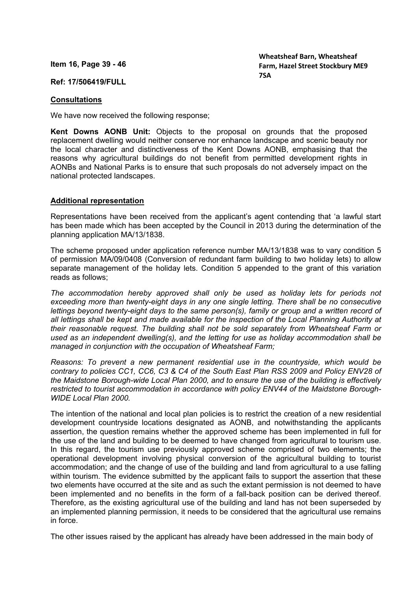**Item 16, Page 39 - 46** 

## **Ref: 17/506419/FULL**

## **Consultations**

We have now received the following response;

**Kent Downs AONB Unit:** Objects to the proposal on grounds that the proposed replacement dwelling would neither conserve nor enhance landscape and scenic beauty nor the local character and distinctiveness of the Kent Downs AONB, emphasising that the reasons why agricultural buildings do not benefit from permitted development rights in AONBs and National Parks is to ensure that such proposals do not adversely impact on the national protected landscapes.

## **Additional representation**

Representations have been received from the applicant's agent contending that 'a lawful start has been made which has been accepted by the Council in 2013 during the determination of the planning application MA/13/1838.

The scheme proposed under application reference number MA/13/1838 was to vary condition 5 of permission MA/09/0408 (Conversion of redundant farm building to two holiday lets) to allow separate management of the holiday lets. Condition 5 appended to the grant of this variation reads as follows;

*The accommodation hereby approved shall only be used as holiday lets for periods not exceeding more than twenty-eight days in any one single letting. There shall be no consecutive lettings beyond twenty-eight days to the same person(s), family or group and a written record of all lettings shall be kept and made available for the inspection of the Local Planning Authority at their reasonable request. The building shall not be sold separately from Wheatsheaf Farm or used as an independent dwelling(s), and the letting for use as holiday accommodation shall be managed in conjunction with the occupation of Wheatsheaf Farm;*

*Reasons: To prevent a new permanent residential use in the countryside, which would be contrary to policies CC1, CC6, C3 & C4 of the South East Plan RSS 2009 and Policy ENV28 of the Maidstone Borough-wide Local Plan 2000, and to ensure the use of the building is effectively restricted to tourist accommodation in accordance with policy ENV44 of the Maidstone Borough-WIDE Local Plan 2000.*

The intention of the national and local plan policies is to restrict the creation of a new residential development countryside locations designated as AONB, and notwithstanding the applicants assertion, the question remains whether the approved scheme has been implemented in full for the use of the land and building to be deemed to have changed from agricultural to tourism use. In this regard, the tourism use previously approved scheme comprised of two elements; the operational development involving physical conversion of the agricultural building to tourist accommodation; and the change of use of the building and land from agricultural to a use falling within tourism. The evidence submitted by the applicant fails to support the assertion that these two elements have occurred at the site and as such the extant permission is not deemed to have been implemented and no benefits in the form of a fall-back position can be derived thereof. Therefore, as the existing agricultural use of the building and land has not been superseded by an implemented planning permission, it needs to be considered that the agricultural use remains in force.

The other issues raised by the applicant has already have been addressed in the main body of